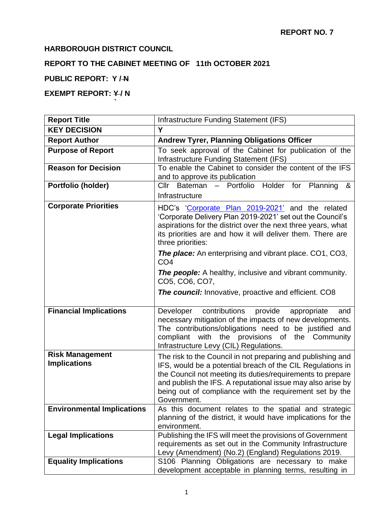### **HARBOROUGH DISTRICT COUNCIL**

**`**

# **REPORT TO THE CABINET MEETING OF 11th OCTOBER 2021**

### **PUBLIC REPORT: Y / N**

# **EXEMPT REPORT: Y/N**

| <b>Report Title</b>                           | Infrastructure Funding Statement (IFS)                                                                                                                                                                                                                                                                                           |  |
|-----------------------------------------------|----------------------------------------------------------------------------------------------------------------------------------------------------------------------------------------------------------------------------------------------------------------------------------------------------------------------------------|--|
| <b>KEY DECISION</b>                           | Y                                                                                                                                                                                                                                                                                                                                |  |
| <b>Report Author</b>                          | <b>Andrew Tyrer, Planning Obligations Officer</b>                                                                                                                                                                                                                                                                                |  |
| <b>Purpose of Report</b>                      | To seek approval of the Cabinet for publication of the<br>Infrastructure Funding Statement (IFS)                                                                                                                                                                                                                                 |  |
| <b>Reason for Decision</b>                    | To enable the Cabinet to consider the content of the IFS<br>and to approve its publication                                                                                                                                                                                                                                       |  |
| Portfolio (holder)                            | Cllr Bateman - Portfolio Holder for<br>Planning<br>&                                                                                                                                                                                                                                                                             |  |
|                                               | Infrastructure                                                                                                                                                                                                                                                                                                                   |  |
| <b>Corporate Priorities</b>                   | HDC's 'Corporate Plan 2019-2021' and the related<br>'Corporate Delivery Plan 2019-2021' set out the Council's<br>aspirations for the district over the next three years, what<br>its priorities are and how it will deliver them. There are<br>three priorities:                                                                 |  |
|                                               | <b>The place:</b> An enterprising and vibrant place. CO1, CO3,<br>CO <sub>4</sub>                                                                                                                                                                                                                                                |  |
|                                               | <b>The people:</b> A healthy, inclusive and vibrant community.<br>CO5, CO6, CO7,                                                                                                                                                                                                                                                 |  |
|                                               | <b>The council:</b> Innovative, proactive and efficient. CO8                                                                                                                                                                                                                                                                     |  |
| <b>Financial Implications</b>                 | contributions<br>provide<br>Developer<br>appropriate<br>and<br>necessary mitigation of the impacts of new developments.<br>The contributions/obligations need to be justified and<br>with the provisions of the Community<br>compliant<br>Infrastructure Levy (CIL) Regulations.                                                 |  |
| <b>Risk Management</b><br><b>Implications</b> | The risk to the Council in not preparing and publishing and<br>IFS, would be a potential breach of the CIL Regulations in<br>the Council not meeting its duties/requirements to prepare<br>and publish the IFS. A reputational issue may also arise by<br>being out of compliance with the requirement set by the<br>Government. |  |
| <b>Environmental Implications</b>             | As this document relates to the spatial and strategic<br>planning of the district, it would have implications for the<br>environment.                                                                                                                                                                                            |  |
| <b>Legal Implications</b>                     | Publishing the IFS will meet the provisions of Government<br>requirements as set out in the Community Infrastructure<br>Levy (Amendment) (No.2) (England) Regulations 2019.                                                                                                                                                      |  |
| <b>Equality Implications</b>                  | S106 Planning Obligations are necessary to make<br>development acceptable in planning terms, resulting in                                                                                                                                                                                                                        |  |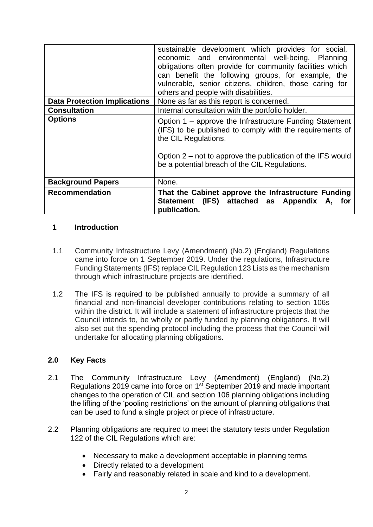|                                     | sustainable development which provides for social,<br>economic and environmental well-being. Planning<br>obligations often provide for community facilities which<br>can benefit the following groups, for example, the<br>vulnerable, senior citizens, children, those caring for<br>others and people with disabilities. |
|-------------------------------------|----------------------------------------------------------------------------------------------------------------------------------------------------------------------------------------------------------------------------------------------------------------------------------------------------------------------------|
| <b>Data Protection Implications</b> | None as far as this report is concerned.                                                                                                                                                                                                                                                                                   |
| <b>Consultation</b>                 | Internal consultation with the portfolio holder.                                                                                                                                                                                                                                                                           |
| <b>Options</b>                      | Option 1 – approve the Infrastructure Funding Statement<br>(IFS) to be published to comply with the requirements of<br>the CIL Regulations.<br>Option $2$ – not to approve the publication of the IFS would<br>be a potential breach of the CIL Regulations.                                                               |
| <b>Background Papers</b>            | None.                                                                                                                                                                                                                                                                                                                      |
| <b>Recommendation</b>               | That the Cabinet approve the Infrastructure Funding<br>Statement (IFS) attached as Appendix A, for<br>publication.                                                                                                                                                                                                         |

#### **1 Introduction**

- 1.1 Community Infrastructure Levy (Amendment) (No.2) (England) Regulations came into force on 1 September 2019. Under the regulations, Infrastructure Funding Statements (IFS) replace CIL Regulation 123 Lists as the mechanism through which infrastructure projects are identified.
- 1.2 The IFS is required to be published annually to provide a summary of all financial and non-financial developer contributions relating to section 106s within the district. It will include a statement of infrastructure projects that the Council intends to, be wholly or partly funded by planning obligations. It will also set out the spending protocol including the process that the Council will undertake for allocating planning obligations.

## **2.0 Key Facts**

- 2.1 The Community Infrastructure Levy (Amendment) (England) (No.2) Regulations 2019 came into force on 1st September 2019 and made important changes to the operation of CIL and section 106 planning obligations including the lifting of the 'pooling restrictions' on the amount of planning obligations that can be used to fund a single project or piece of infrastructure.
- 2.2 Planning obligations are required to meet the statutory tests under Regulation 122 of the CIL Regulations which are:
	- Necessary to make a development acceptable in planning terms
	- Directly related to a development
	- Fairly and reasonably related in scale and kind to a development.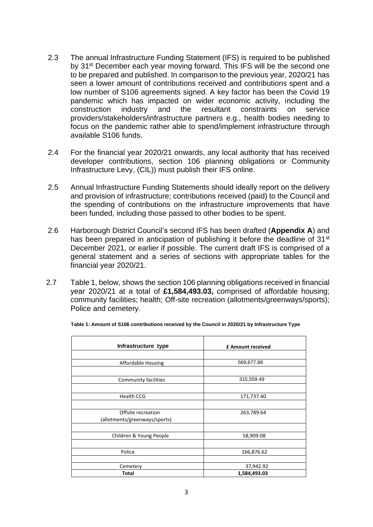- 2.3 The annual Infrastructure Funding Statement (IFS) is required to be published by 31<sup>st</sup> December each year moving forward. This IFS will be the second one to be prepared and published. In comparison to the previous year, 2020/21 has seen a lower amount of contributions received and contributions spent and a low number of S106 agreements signed. A key factor has been the Covid 19 pandemic which has impacted on wider economic activity, including the construction industry and the resultant constraints on service providers/stakeholders/infrastructure partners e.g., health bodies needing to focus on the pandemic rather able to spend/implement infrastructure through available S106 funds.
- 2.4 For the financial year 2020/21 onwards, any local authority that has received developer contributions, section 106 planning obligations or Community Infrastructure Levy, (CIL)) must publish their IFS online.
- 2.5 Annual Infrastructure Funding Statements should ideally report on the delivery and provision of infrastructure; contributions received (paid) to the Council and the spending of contributions on the infrastructure improvements that have been funded, including those passed to other bodies to be spent.
- 2.6 Harborough District Council's second IFS has been drafted (**Appendix A**) and has been prepared in anticipation of publishing it before the deadline of 31<sup>st</sup> December 2021, or earlier if possible. The current draft IFS is comprised of a general statement and a series of sections with appropriate tables for the financial year 2020/21.
- 2.7 Table 1, below, shows the section 106 planning obligations received in financial year 2020/21 at a total of **£1,584,493.03,** comprised of affordable housing; community facilities; health; Off-site recreation (allotments/greenways/sports); Police and cemetery.

| Infrastructure type           | £ Amount received |
|-------------------------------|-------------------|
|                               |                   |
| Affordable Housing            | 569,677.88        |
|                               |                   |
| <b>Community facilities</b>   | 315,559.49        |
|                               |                   |
| <b>Health CCG</b>             | 171,737.40        |
|                               |                   |
| Offsite recreation            | 263,789.64        |
| (allotments/greenways/sports) |                   |
|                               |                   |
| Children & Young People       | 58,909.08         |
|                               |                   |
| Police                        | 166,876.62        |
|                               |                   |
| Cemetery                      | 37,942.92         |
| <b>Total</b>                  | 1,584,493.03      |

**Table 1: Amount of S106 contributions received by the Council in 2020/21 by Infrastructure Type**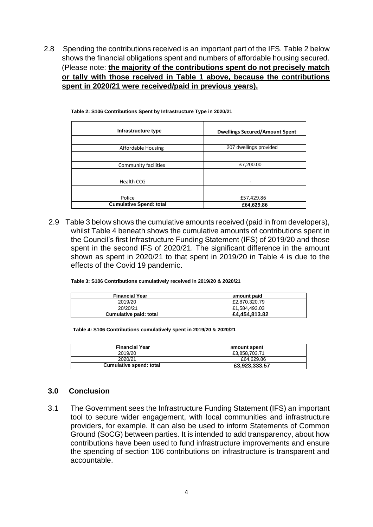2.8 Spending the contributions received is an important part of the IFS. Table 2 below shows the financial obligations spent and numbers of affordable housing secured. (Please note: **the majority of the contributions spent do not precisely match or tally with those received in Table 1 above, because the contributions spent in 2020/21 were received/paid in previous years).**

| <b>Dwellings Secured/Amount Spent</b> |
|---------------------------------------|
|                                       |
| 207 dwellings provided                |
|                                       |
| £7,200.00                             |
|                                       |
|                                       |
|                                       |
| £57,429.86                            |
| £64,629.86                            |
|                                       |

**Table 2: S106 Contributions Spent by Infrastructure Type in 2020/21**

2.9 Table 3 below shows the cumulative amounts received (paid in from developers), whilst Table 4 beneath shows the cumulative amounts of contributions spent in the Council's first Infrastructure Funding Statement (IFS) of 2019/20 and those spent in the second IFS of 2020/21. The significant difference in the amount shown as spent in 2020/21 to that spent in 2019/20 in Table 4 is due to the effects of the Covid 19 pandemic.

**Table 3: S106 Contributions cumulatively received in 2019/20 & 2020/21**

| <b>Financial Year</b>  | amount paid   |
|------------------------|---------------|
| 2019/20                | £2.870.320.79 |
| 20/20/21               | £1.584.493.03 |
| Cumulative paid: total | £4,454,813.82 |

**Table 4: S106 Contributions cumulatively spent in 2019/20 & 2020/21** 

| <b>Financial Year</b>   | amount spent  |
|-------------------------|---------------|
| 2019/20                 | £3.858.703.71 |
| 2020/21                 | £64.629.86    |
| Cumulative spend: total | £3,923,333.57 |

#### **3.0 Conclusion**

3.1 The Government sees the Infrastructure Funding Statement (IFS) an important tool to secure wider engagement, with local communities and infrastructure providers, for example. It can also be used to inform Statements of Common Ground (SoCG) between parties. It is intended to add transparency, about how contributions have been used to fund infrastructure improvements and ensure the spending of section 106 contributions on infrastructure is transparent and accountable.